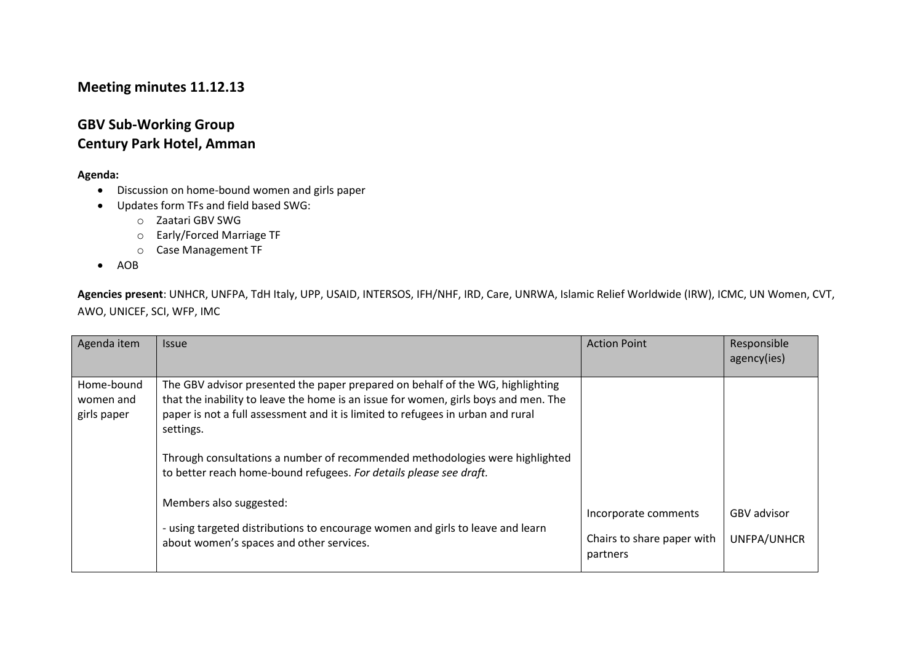## **Meeting minutes 11.12.13**

## **GBV Sub-Working Group Century Park Hotel, Amman**

## **Agenda:**

- Discussion on home-bound women and girls paper
- Updates form TFs and field based SWG:
	- o Zaatari GBV SWG
	- o Early/Forced Marriage TF
	- o Case Management TF
- $\bullet$  AOB

**Agencies present**: UNHCR, UNFPA, TdH Italy, UPP, USAID, INTERSOS, IFH/NHF, IRD, Care, UNRWA, Islamic Relief Worldwide (IRW), ICMC, UN Women, CVT, AWO, UNICEF, SCI, WFP, IMC

| Agenda item                            | <b>Issue</b>                                                                                                                                                                                                                                                                                                                                                                                                                | <b>Action Point</b>                                            | Responsible<br>agency(ies)        |
|----------------------------------------|-----------------------------------------------------------------------------------------------------------------------------------------------------------------------------------------------------------------------------------------------------------------------------------------------------------------------------------------------------------------------------------------------------------------------------|----------------------------------------------------------------|-----------------------------------|
| Home-bound<br>women and<br>girls paper | The GBV advisor presented the paper prepared on behalf of the WG, highlighting<br>that the inability to leave the home is an issue for women, girls boys and men. The<br>paper is not a full assessment and it is limited to refugees in urban and rural<br>settings.<br>Through consultations a number of recommended methodologies were highlighted<br>to better reach home-bound refugees. For details please see draft. |                                                                |                                   |
|                                        | Members also suggested:<br>- using targeted distributions to encourage women and girls to leave and learn<br>about women's spaces and other services.                                                                                                                                                                                                                                                                       | Incorporate comments<br>Chairs to share paper with<br>partners | <b>GBV</b> advisor<br>UNFPA/UNHCR |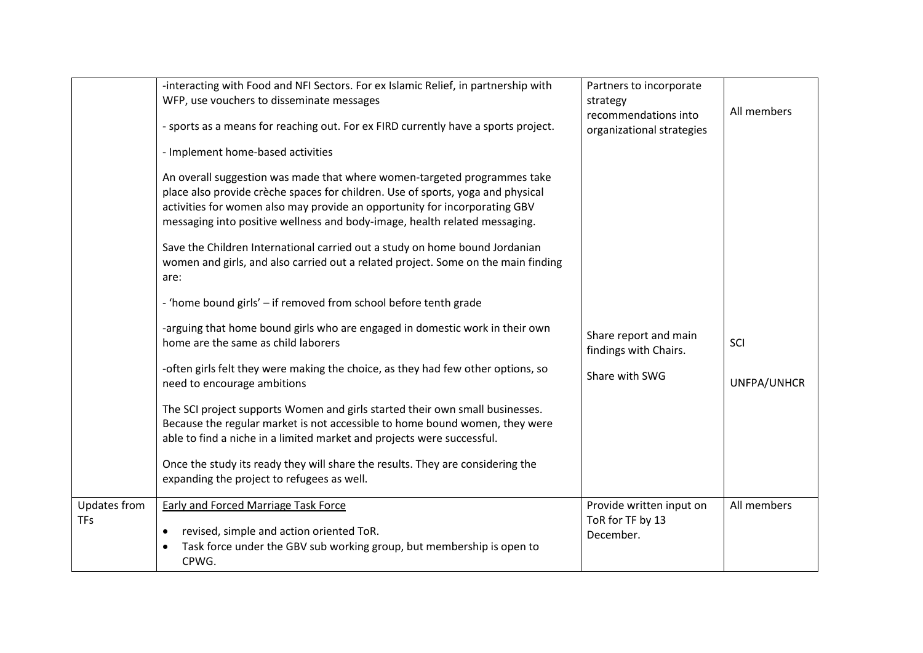|                            | -interacting with Food and NFI Sectors. For ex Islamic Relief, in partnership with<br>WFP, use vouchers to disseminate messages<br>- sports as a means for reaching out. For ex FIRD currently have a sports project.                                                                                                                                                                                                                                                                                                                                                                                                                                                                                                                                                                                                                                                                                                                                                                                                 | Partners to incorporate<br>strategy<br>recommendations into<br>organizational strategies | All members        |
|----------------------------|-----------------------------------------------------------------------------------------------------------------------------------------------------------------------------------------------------------------------------------------------------------------------------------------------------------------------------------------------------------------------------------------------------------------------------------------------------------------------------------------------------------------------------------------------------------------------------------------------------------------------------------------------------------------------------------------------------------------------------------------------------------------------------------------------------------------------------------------------------------------------------------------------------------------------------------------------------------------------------------------------------------------------|------------------------------------------------------------------------------------------|--------------------|
|                            | - Implement home-based activities<br>An overall suggestion was made that where women-targeted programmes take<br>place also provide crèche spaces for children. Use of sports, yoga and physical<br>activities for women also may provide an opportunity for incorporating GBV<br>messaging into positive wellness and body-image, health related messaging.<br>Save the Children International carried out a study on home bound Jordanian<br>women and girls, and also carried out a related project. Some on the main finding<br>are:<br>- 'home bound girls' - if removed from school before tenth grade<br>-arguing that home bound girls who are engaged in domestic work in their own<br>home are the same as child laborers<br>-often girls felt they were making the choice, as they had few other options, so<br>need to encourage ambitions<br>The SCI project supports Women and girls started their own small businesses.<br>Because the regular market is not accessible to home bound women, they were | Share report and main<br>findings with Chairs.<br>Share with SWG                         | SCI<br>UNFPA/UNHCR |
|                            | able to find a niche in a limited market and projects were successful.<br>Once the study its ready they will share the results. They are considering the<br>expanding the project to refugees as well.                                                                                                                                                                                                                                                                                                                                                                                                                                                                                                                                                                                                                                                                                                                                                                                                                |                                                                                          |                    |
| Updates from<br><b>TFs</b> | <b>Early and Forced Marriage Task Force</b><br>revised, simple and action oriented ToR.<br>$\bullet$<br>Task force under the GBV sub working group, but membership is open to<br>CPWG.                                                                                                                                                                                                                                                                                                                                                                                                                                                                                                                                                                                                                                                                                                                                                                                                                                | Provide written input on<br>ToR for TF by 13<br>December.                                | All members        |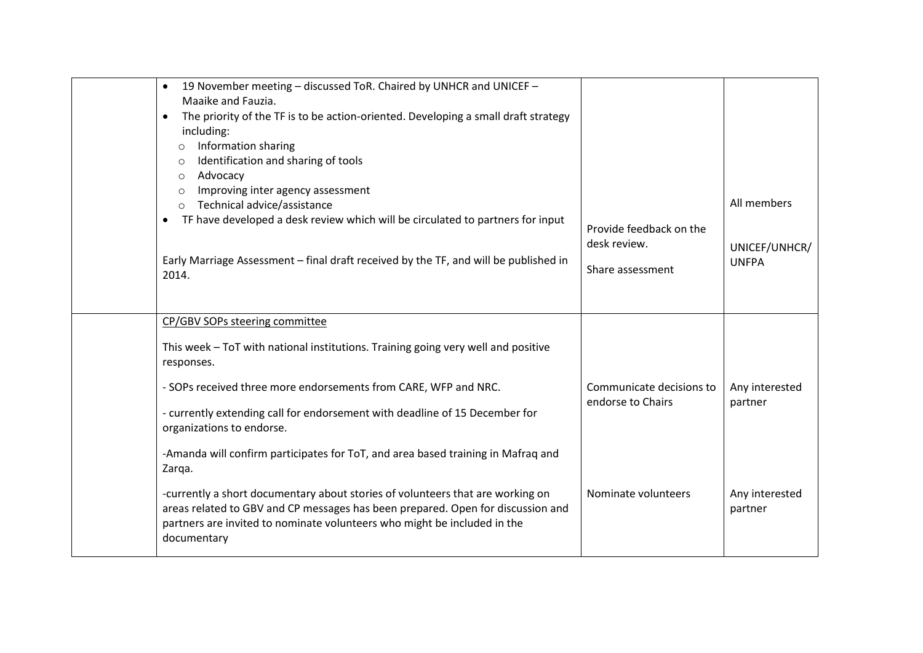| 19 November meeting - discussed ToR. Chaired by UNHCR and UNICEF -<br>$\bullet$<br>Maaike and Fauzia.<br>The priority of the TF is to be action-oriented. Developing a small draft strategy<br>$\bullet$<br>including:<br>Information sharing<br>$\circ$<br>Identification and sharing of tools<br>$\circ$<br>Advocacy<br>$\circ$<br>Improving inter agency assessment<br>$\circ$<br>Technical advice/assistance<br>$\circ$<br>TF have developed a desk review which will be circulated to partners for input<br>$\bullet$<br>Early Marriage Assessment - final draft received by the TF, and will be published in<br>2014. | Provide feedback on the<br>desk review.<br>Share assessment | All members<br>UNICEF/UNHCR/<br><b>UNFPA</b> |
|-----------------------------------------------------------------------------------------------------------------------------------------------------------------------------------------------------------------------------------------------------------------------------------------------------------------------------------------------------------------------------------------------------------------------------------------------------------------------------------------------------------------------------------------------------------------------------------------------------------------------------|-------------------------------------------------------------|----------------------------------------------|
| CP/GBV SOPs steering committee                                                                                                                                                                                                                                                                                                                                                                                                                                                                                                                                                                                              |                                                             |                                              |
| This week - ToT with national institutions. Training going very well and positive<br>responses.                                                                                                                                                                                                                                                                                                                                                                                                                                                                                                                             |                                                             |                                              |
| - SOPs received three more endorsements from CARE, WFP and NRC.                                                                                                                                                                                                                                                                                                                                                                                                                                                                                                                                                             | Communicate decisions to                                    | Any interested                               |
| - currently extending call for endorsement with deadline of 15 December for<br>organizations to endorse.                                                                                                                                                                                                                                                                                                                                                                                                                                                                                                                    | endorse to Chairs                                           | partner                                      |
| -Amanda will confirm participates for ToT, and area based training in Mafraq and<br>Zarqa.                                                                                                                                                                                                                                                                                                                                                                                                                                                                                                                                  |                                                             |                                              |
| -currently a short documentary about stories of volunteers that are working on<br>areas related to GBV and CP messages has been prepared. Open for discussion and<br>partners are invited to nominate volunteers who might be included in the<br>documentary                                                                                                                                                                                                                                                                                                                                                                | Nominate volunteers                                         | Any interested<br>partner                    |